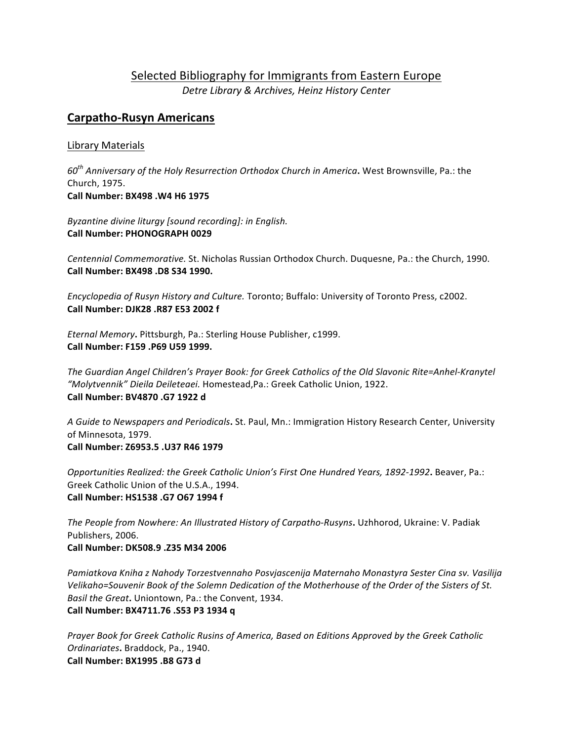# Selected Bibliography for Immigrants from Eastern Europe *Detre Library & Archives, Heinz History Center*

# **Carpatho-Rusyn Americans**

# Library Materials

*60th Anniversary of the Holy Resurrection Orthodox Church in America***.** West Brownsville, Pa.: the Church, 1975. **Call Number: BX498 .W4 H6 1975**

Byzantine divine liturgy [sound recording]: in English. **Call Number: PHONOGRAPH 0029** 

*Centennial Commemorative.* St. Nicholas Russian Orthodox Church. Duquesne, Pa.: the Church, 1990. **Call Number: BX498 .D8 S34 1990.**

*Encyclopedia of Rusyn History and Culture.* Toronto; Buffalo: University of Toronto Press, c2002. **Call Number: DJK28 .R87 E53 2002 f** 

*Eternal Memory***.** Pittsburgh, Pa.: Sterling House Publisher, c1999. **Call Number: F159 .P69 U59 1999.** 

The Guardian Angel Children's Prayer Book: for Greek Catholics of the Old Slavonic Rite=Anhel-Kranytel *"Molytvennik" Dieila Deileteaei.* Homestead,Pa.: Greek Catholic Union, 1922. **Call Number: BV4870 .G7 1922 d**

A Guide to Newspapers and Periodicals**.** St. Paul, Mn.: Immigration History Research Center, University of Minnesota, 1979. **Call Number: Z6953.5 .U37 R46 1979** 

*Opportunities Realized: the Greek Catholic Union's First One Hundred Years, 1892-1992***.** Beaver, Pa.: Greek Catholic Union of the U.S.A., 1994. **Call Number: HS1538 .G7 O67 1994 f** 

*The People from Nowhere: An Illustrated History of Carpatho-Rusyns***.** Uzhhorod, Ukraine: V. Padiak Publishers, 2006. **Call Number: DK508.9 .Z35 M34 2006** 

Pamiatkova Kniha z Nahody Torzestvennaho Posvjascenija Maternaho Monastyra Sester Cina sv. Vasilija Velikaho=Souvenir Book of the Solemn Dedication of the Motherhouse of the Order of the Sisters of St. *Basil the Great.* Uniontown, Pa.: the Convent, 1934. **Call Number: BX4711.76 .S53 P3 1934 q**

Prayer Book for Greek Catholic Rusins of America, Based on Editions Approved by the Greek Catholic *Ordinariates***.** Braddock, Pa., 1940. **Call Number: BX1995 .B8 G73 d**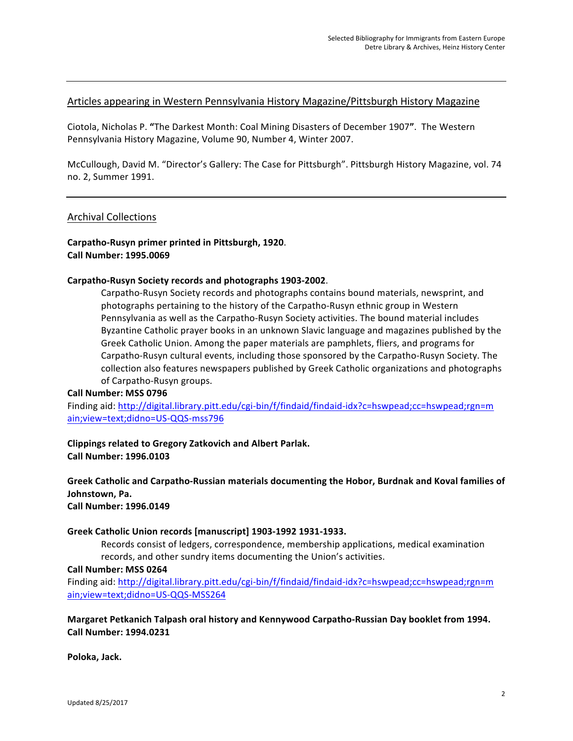# Articles appearing in Western Pennsylvania History Magazine/Pittsburgh History Magazine

Ciotola, Nicholas P. **"**The Darkest Month: Coal Mining Disasters of December 1907**"**. The Western Pennsylvania History Magazine, Volume 90, Number 4, Winter 2007.

McCullough, David M. "Director's Gallery: The Case for Pittsburgh". Pittsburgh History Magazine, vol. 74 no. 2, Summer 1991.

## Archival Collections

# **Carpatho-Rusyn primer printed in Pittsburgh, 1920**. **Call Number: 1995.0069**

#### **Carpatho-Rusyn Society records and photographs 1903-2002**.

Carpatho-Rusyn Society records and photographs contains bound materials, newsprint, and photographs pertaining to the history of the Carpatho-Rusyn ethnic group in Western Pennsylvania as well as the Carpatho-Rusyn Society activities. The bound material includes Byzantine Catholic prayer books in an unknown Slavic language and magazines published by the Greek Catholic Union. Among the paper materials are pamphlets, fliers, and programs for Carpatho-Rusyn cultural events, including those sponsored by the Carpatho-Rusyn Society. The collection also features newspapers published by Greek Catholic organizations and photographs of Carpatho-Rusyn groups.

#### **Call Number: MSS 0796**

Finding aid: http://digital.library.pitt.edu/cgi-bin/f/findaid/findaid-idx?c=hswpead;cc=hswpead;rgn=m ain;view=text;didno=US-QQS-mss796

#### **Clippings related to Gregory Zatkovich and Albert Parlak. Call Number: 1996.0103**

## Greek Catholic and Carpatho-Russian materials documenting the Hobor, Burdnak and Koval families of Johnstown, Pa. **Call Number: 1996.0149**

#### Greek Catholic Union records [manuscript] 1903-1992 1931-1933.

Records consist of ledgers, correspondence, membership applications, medical examination records, and other sundry items documenting the Union's activities.

#### **Call Number: MSS 0264**

Finding aid: http://digital.library.pitt.edu/cgi-bin/f/findaid/findaid-idx?c=hswpead;cc=hswpead;rgn=m ain;view=text;didno=US-QQS-MSS264

# **Margaret Petkanich Talpash oral history and Kennywood Carpatho-Russian Day booklet from 1994. Call Number: 1994.0231**

**Poloka, Jack.**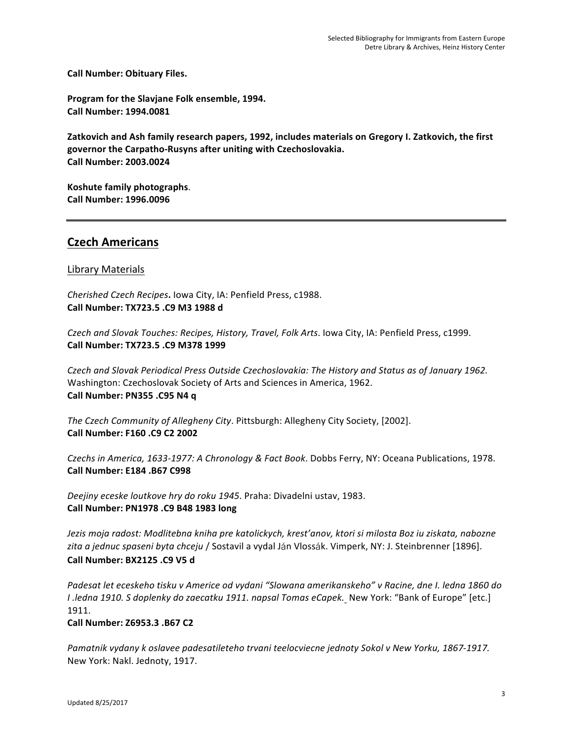**Call Number: Obituary Files.**

Program for the Slavjane Folk ensemble, 1994. **Call Number: 1994.0081**

Zatkovich and Ash family research papers, 1992, includes materials on Gregory I. Zatkovich, the first governor the Carpatho-Rusyns after uniting with Czechoslovakia. **Call Number: 2003.0024**

**Koshute family photographs. Call Number: 1996.0096**

# **Czech Americans**

# Library Materials

*Cherished Czech Recipes***.** Iowa City, IA: Penfield Press, c1988. **Call Number: TX723.5 .C9 M3 1988 d**

*Czech and Slovak Touches: Recipes, History, Travel, Folk Arts*. Iowa City, IA: Penfield Press, c1999. **Call Number: TX723.5 .C9 M378 1999**

*Czech and Slovak Periodical Press Outside Czechoslovakia: The History and Status as of January 1962.* Washington: Czechoslovak Society of Arts and Sciences in America, 1962. **Call Number: PN355 .C95 N4 q** 

*The Czech Community of Allegheny City*. Pittsburgh: Allegheny City Society, [2002]. **Call Number: F160 .C9 C2 2002**

*Czechs in America, 1633-1977: A Chronology & Fact Book. Dobbs Ferry, NY: Oceana Publications, 1978.* **Call Number: E184 .B67 C998** 

Deejiny eceske loutkove hry do roku 1945. Praha: Divadelni ustav, 1983. **Call Number: PN1978 .C9 B48 1983 long**

Jezis moja radost: Modlitebna kniha pre katolickych, krest'anov, ktori si milosta Boz iu ziskata, nabozne zita a jednuc spaseni byta chceju / Sostavil a vydal Ján Vlossák. Vimperk, NY: J. Steinbrenner [1896]. **Call Number: BX2125 .C9 V5 d**

Padesat let eceskeho tisku v Americe od vydani "Slowana amerikanskeho" v Racine, dne I. ledna 1860 do *I* .ledna 1910. S doplenky do zaecatku 1911. napsal Tomas eCapek. New York: "Bank of Europe" [etc.] 1911.

**Call Number: Z6953.3 .B67 C2**

Pamatnik vydany k oslavee padesatileteho trvani teelocviecne jednoty Sokol v New Yorku, 1867-1917. New York: Nakl. Jednoty, 1917.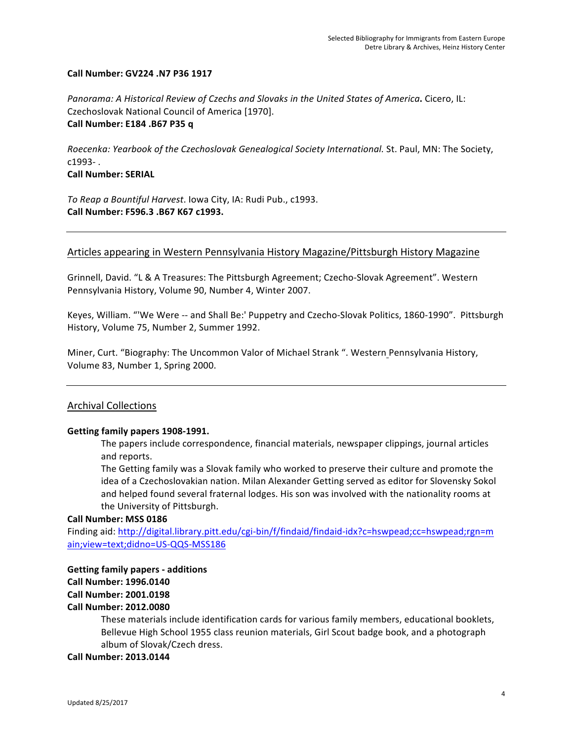## **Call Number: GV224 .N7 P36 1917**

*Panorama:* A Historical Review of Czechs and Slovaks in the United States of America. Cicero, IL: Czechoslovak National Council of America [1970]. **Call Number: E184 .B67 P35 q** 

*Roecenka: Yearbook of the Czechoslovak Genealogical Society International.* St. Paul, MN: The Society, c1993- .

**Call Number: SERIAL**

*To* Reap a Bountiful Harvest. Iowa City, IA: Rudi Pub., c1993. **Call Number: F596.3 .B67 K67 c1993.**

# Articles appearing in Western Pennsylvania History Magazine/Pittsburgh History Magazine

Grinnell, David. "L & A Treasures: The Pittsburgh Agreement; Czecho-Slovak Agreement". Western Pennsylvania History, Volume 90, Number 4, Winter 2007.

Keyes, William. "'We Were -- and Shall Be:' Puppetry and Czecho-Slovak Politics, 1860-1990". Pittsburgh History, Volume 75, Number 2, Summer 1992.

Miner, Curt. "Biography: The Uncommon Valor of Michael Strank ". Western Pennsylvania History, Volume 83, Number 1, Spring 2000.

# Archival Collections

## Getting family papers 1908-1991.

The papers include correspondence, financial materials, newspaper clippings, journal articles and reports.

The Getting family was a Slovak family who worked to preserve their culture and promote the idea of a Czechoslovakian nation. Milan Alexander Getting served as editor for Slovensky Sokol and helped found several fraternal lodges. His son was involved with the nationality rooms at the University of Pittsburgh.

## **Call Number: MSS 0186**

Finding aid: http://digital.library.pitt.edu/cgi-bin/f/findaid/findaid-idx?c=hswpead;cc=hswpead;rgn=m ain;view=text;didno=US-QQS-MSS186

# **Getting family papers - additions Call Number: 1996.0140 Call Number: 2001.0198 Call Number: 2012.0080**

These materials include identification cards for various family members, educational booklets, Bellevue High School 1955 class reunion materials, Girl Scout badge book, and a photograph album of Slovak/Czech dress.

## **Call Number: 2013.0144**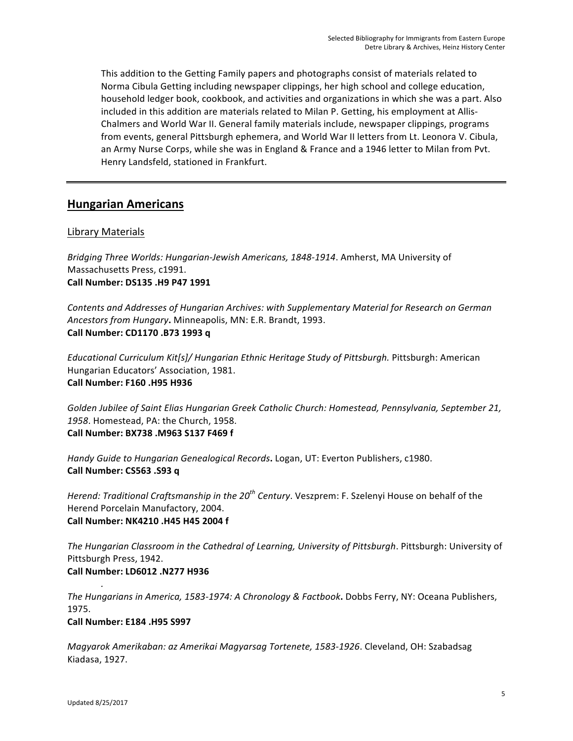This addition to the Getting Family papers and photographs consist of materials related to Norma Cibula Getting including newspaper clippings, her high school and college education, household ledger book, cookbook, and activities and organizations in which she was a part. Also included in this addition are materials related to Milan P. Getting, his employment at Allis-Chalmers and World War II. General family materials include, newspaper clippings, programs from events, general Pittsburgh ephemera, and World War II letters from Lt. Leonora V. Cibula, an Army Nurse Corps, while she was in England & France and a 1946 letter to Milan from Pvt. Henry Landsfeld, stationed in Frankfurt.

# **Hungarian Americans**

# Library Materials

Bridging Three Worlds: Hungarian-Jewish Americans, 1848-1914. Amherst, MA University of Massachusetts Press, c1991. **Call Number: DS135 .H9 P47 1991** 

Contents and Addresses of Hungarian Archives: with Supplementary Material for Research on German Ancestors from Hungary. Minneapolis, MN: E.R. Brandt, 1993. **Call Number: CD1170 .B73 1993 q**

*Educational Curriculum Kit[s]/ Hungarian Ethnic Heritage Study of Pittsburgh. Pittsburgh: American* Hungarian Educators' Association, 1981. **Call Number: F160 .H95 H936**

Golden Jubilee of Saint Elias Hungarian Greek Catholic Church: Homestead, Pennsylvania, September 21, 1958. Homestead, PA: the Church, 1958. **Call Number: BX738 .M963 S137 F469 f**

Handy Guide to Hungarian Genealogical Records**.** Logan, UT: Everton Publishers, c1980. **Call Number: CS563 .S93 q** 

*Herend: Traditional Craftsmanship in the 20<sup>th</sup> Century. Veszprem: F. Szelenyi House on behalf of the* Herend Porcelain Manufactory, 2004. **Call Number: NK4210 .H45 H45 2004 f**

The Hungarian Classroom in the Cathedral of Learning, University of Pittsburgh. Pittsburgh: University of Pittsburgh Press, 1942. **Call Number: LD6012 .N277 H936**

*The Hungarians in America, 1583-1974: A Chronology & Factbook. Dobbs Ferry, NY: Oceana Publishers,* 1975. **Call Number: E184 .H95 S997** 

*Magyarok Amerikaban: az Amerikai Magyarsag Tortenete, 1583-1926*. Cleveland, OH: Szabadsag Kiadasa, 1927.

*.*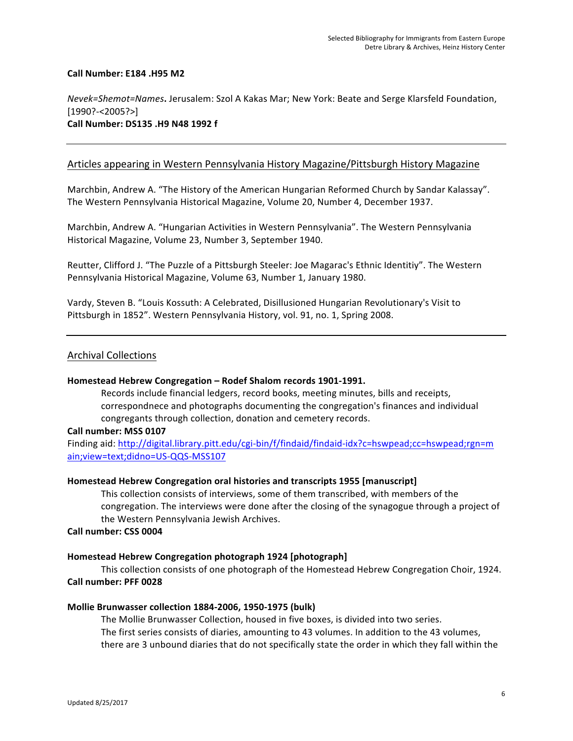### **Call Number: E184 .H95 M2**

## *Nevek=Shemot=Names***.** Jerusalem: Szol A Kakas Mar; New York: Beate and Serge Klarsfeld Foundation, [1990?-<2005?>] **Call Number: DS135 .H9 N48 1992 f**

## Articles appearing in Western Pennsylvania History Magazine/Pittsburgh History Magazine

Marchbin, Andrew A. "The History of the American Hungarian Reformed Church by Sandar Kalassay". The Western Pennsylvania Historical Magazine, Volume 20, Number 4, December 1937.

Marchbin, Andrew A. "Hungarian Activities in Western Pennsylvania". The Western Pennsylvania Historical Magazine, Volume 23, Number 3, September 1940.

Reutter, Clifford J. "The Puzzle of a Pittsburgh Steeler: Joe Magarac's Ethnic Identitiy". The Western Pennsylvania Historical Magazine, Volume 63, Number 1, January 1980.

Vardy, Steven B. "Louis Kossuth: A Celebrated, Disillusioned Hungarian Revolutionary's Visit to Pittsburgh in 1852". Western Pennsylvania History, vol. 91, no. 1, Spring 2008.

## Archival Collections

#### Homestead Hebrew Congregation - Rodef Shalom records 1901-1991.

Records include financial ledgers, record books, meeting minutes, bills and receipts, correspondnece and photographs documenting the congregation's finances and individual congregants through collection, donation and cemetery records.

#### Call number: MSS 0107

Finding aid: http://digital.library.pitt.edu/cgi-bin/f/findaid/findaid-idx?c=hswpead;cc=hswpead;rgn=m ain;view=text;didno=US-QQS-MSS107

#### **Homestead Hebrew Congregation oral histories and transcripts 1955 [manuscript]**

This collection consists of interviews, some of them transcribed, with members of the congregation. The interviews were done after the closing of the synagogue through a project of the Western Pennsylvania Jewish Archives.

#### **Call number: CSS 0004**

## Homestead Hebrew Congregation photograph 1924 [photograph]

This collection consists of one photograph of the Homestead Hebrew Congregation Choir, 1924. **Call number: PFF 0028**

#### **Mollie Brunwasser collection 1884-2006, 1950-1975 (bulk)**

The Mollie Brunwasser Collection, housed in five boxes, is divided into two series. The first series consists of diaries, amounting to 43 volumes. In addition to the 43 volumes, there are 3 unbound diaries that do not specifically state the order in which they fall within the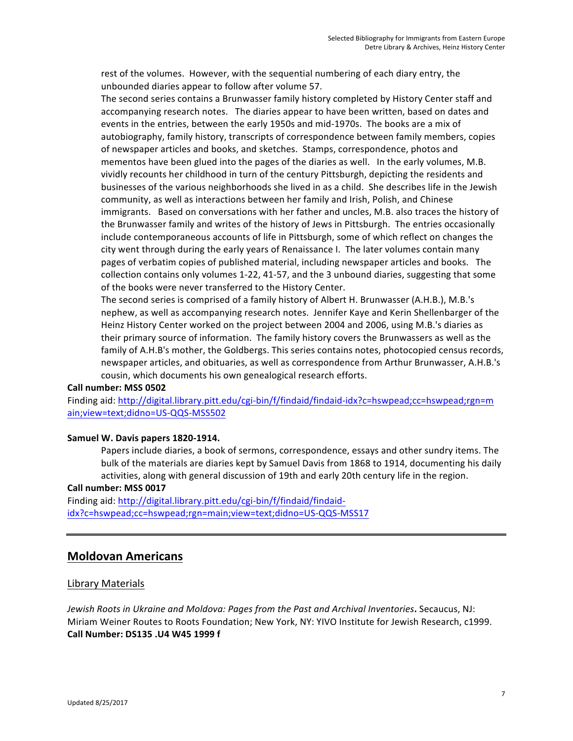rest of the volumes. However, with the sequential numbering of each diary entry, the unbounded diaries appear to follow after volume 57.

The second series contains a Brunwasser family history completed by History Center staff and accompanying research notes. The diaries appear to have been written, based on dates and events in the entries, between the early 1950s and mid-1970s. The books are a mix of autobiography, family history, transcripts of correspondence between family members, copies of newspaper articles and books, and sketches. Stamps, correspondence, photos and mementos have been glued into the pages of the diaries as well. In the early volumes, M.B. vividly recounts her childhood in turn of the century Pittsburgh, depicting the residents and businesses of the various neighborhoods she lived in as a child. She describes life in the Jewish community, as well as interactions between her family and Irish, Polish, and Chinese immigrants. Based on conversations with her father and uncles, M.B. also traces the history of the Brunwasser family and writes of the history of Jews in Pittsburgh. The entries occasionally include contemporaneous accounts of life in Pittsburgh, some of which reflect on changes the city went through during the early years of Renaissance I. The later volumes contain many pages of verbatim copies of published material, including newspaper articles and books. The collection contains only volumes 1-22, 41-57, and the 3 unbound diaries, suggesting that some of the books were never transferred to the History Center.

The second series is comprised of a family history of Albert H. Brunwasser (A.H.B.), M.B.'s nephew, as well as accompanying research notes. Jennifer Kaye and Kerin Shellenbarger of the Heinz History Center worked on the project between 2004 and 2006, using M.B.'s diaries as their primary source of information. The family history covers the Brunwassers as well as the family of A.H.B's mother, the Goldbergs. This series contains notes, photocopied census records, newspaper articles, and obituaries, as well as correspondence from Arthur Brunwasser, A.H.B.'s cousin, which documents his own genealogical research efforts.

## **Call number: MSS 0502**

Finding aid: http://digital.library.pitt.edu/cgi-bin/f/findaid/findaid-idx?c=hswpead;cc=hswpead;rgn=m ain;view=text;didno=US-QQS-MSS502

#### Samuel W. Davis papers 1820-1914.

Papers include diaries, a book of sermons, correspondence, essays and other sundry items. The bulk of the materials are diaries kept by Samuel Davis from 1868 to 1914, documenting his daily activities, along with general discussion of 19th and early 20th century life in the region.

#### **Call number: MSS 0017**

Finding aid: http://digital.library.pitt.edu/cgi-bin/f/findaid/findaididx?c=hswpead;cc=hswpead;rgn=main;view=text;didno=US-QQS-MSS17

# **Moldovan Americans**

## Library Materials

*Jewish Roots in Ukraine and Moldova: Pages from the Past and Archival Inventories. Secaucus, NJ:* Miriam Weiner Routes to Roots Foundation; New York, NY: YIVO Institute for Jewish Research, c1999. **Call Number: DS135 .U4 W45 1999 f**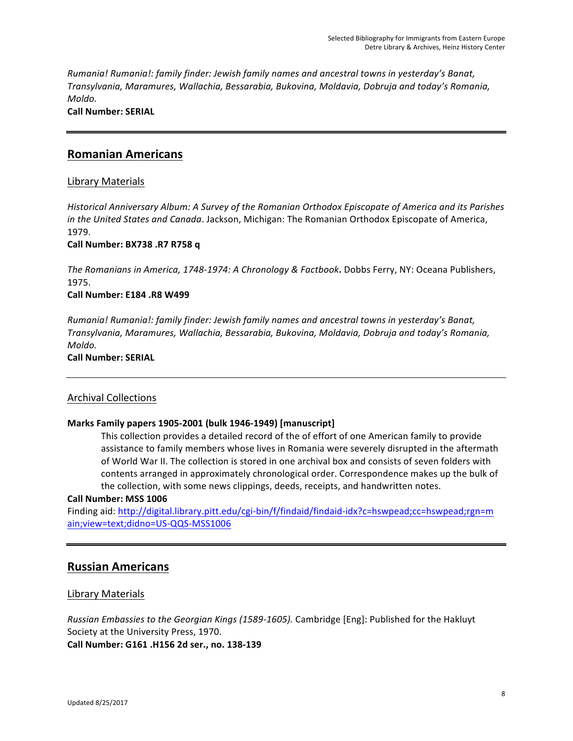*Rumania! Rumania!: family finder: Jewish family names and ancestral towns in yesterday's Banat, Transylvania, Maramures, Wallachia, Bessarabia, Bukovina, Moldavia, Dobruja and today's Romania, Moldo.* 

**Call Number: SERIAL**

# **Romanian Americans**

# Library Materials

*Historical Anniversary Album: A Survey of the Romanian Orthodox Episcopate of America and its Parishes in the United States and Canada*. Jackson, Michigan: The Romanian Orthodox Episcopate of America, 1979.

**Call Number: BX738 .R7 R758 q**

The Romanians in America, 1748-1974: A Chronology & Factbook. Dobbs Ferry, NY: Oceana Publishers, 1975.

# **Call Number: E184 .R8 W499**

*Rumania! Rumania!: family finder: Jewish family names and ancestral towns in yesterday's Banat, Transylvania, Maramures, Wallachia, Bessarabia, Bukovina, Moldavia, Dobruja and today's Romania, Moldo.* 

**Call Number: SERIAL**

# Archival Collections

## **Marks Family papers 1905-2001 (bulk 1946-1949) [manuscript]**

This collection provides a detailed record of the of effort of one American family to provide assistance to family members whose lives in Romania were severely disrupted in the aftermath of World War II. The collection is stored in one archival box and consists of seven folders with contents arranged in approximately chronological order. Correspondence makes up the bulk of the collection, with some news clippings, deeds, receipts, and handwritten notes.

## **Call Number: MSS 1006**

Finding aid: http://digital.library.pitt.edu/cgi-bin/f/findaid/findaid-idx?c=hswpead;cc=hswpead;rgn=m ain;view=text;didno=US-QQS-MSS1006

# **Russian Americans**

# **Library Materials**

*Russian Embassies to the Georgian Kings (1589-1605).* Cambridge [Eng]: Published for the Hakluyt Society at the University Press, 1970. **Call Number: G161 .H156 2d ser., no. 138-139**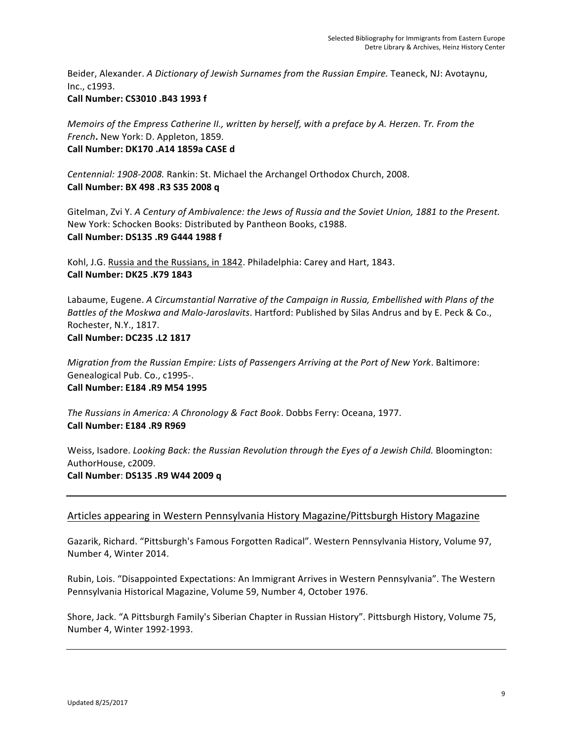Beider, Alexander. *A Dictionary of Jewish Surnames from the Russian Empire.* Teaneck, NJ: Avotaynu, Inc., c1993.

# **Call Number: CS3010 .B43 1993 f**

*Memoirs of the Empress Catherine II., written by herself, with a preface by A. Herzen. Tr. From the French*. New York: D. Appleton, 1859. **Call Number: DK170 .A14 1859a CASE d**

*Centennial: 1908-2008.* Rankin: St. Michael the Archangel Orthodox Church, 2008. **Call Number: BX 498 .R3 S35 2008 q**

Gitelman, Zvi Y. A Century of Ambivalence: the Jews of Russia and the Soviet Union, 1881 to the Present. New York: Schocken Books: Distributed by Pantheon Books, c1988. **Call Number: DS135 .R9 G444 1988 f**

Kohl, J.G. Russia and the Russians, in 1842. Philadelphia: Carey and Hart, 1843. **Call Number: DK25 .K79 1843**

Labaume, Eugene. A Circumstantial Narrative of the Campaign in Russia, Embellished with Plans of the *Battles of the Moskwa and Malo-Jaroslavits*. Hartford: Published by Silas Andrus and by E. Peck & Co., Rochester, N.Y., 1817. **Call Number: DC235 .L2 1817**

*Migration from the Russian Empire: Lists of Passengers Arriving at the Port of New York. Baltimore:* Genealogical Pub. Co., c1995-. **Call Number: E184 .R9 M54 1995**

The Russians in America: A Chronology & Fact Book. Dobbs Ferry: Oceana, 1977. **Call Number: E184 .R9 R969**

Weiss, Isadore. *Looking Back: the Russian Revolution through the Eyes of a Jewish Child. Bloomington:* AuthorHouse, c2009. **Call Number**: **DS135 .R9 W44 2009 q**

# Articles appearing in Western Pennsylvania History Magazine/Pittsburgh History Magazine

Gazarik, Richard. "Pittsburgh's Famous Forgotten Radical". Western Pennsylvania History, Volume 97, Number 4, Winter 2014.

Rubin, Lois. "Disappointed Expectations: An Immigrant Arrives in Western Pennsylvania". The Western Pennsylvania Historical Magazine, Volume 59, Number 4, October 1976.

Shore, Jack. "A Pittsburgh Family's Siberian Chapter in Russian History". Pittsburgh History, Volume 75, Number 4, Winter 1992-1993.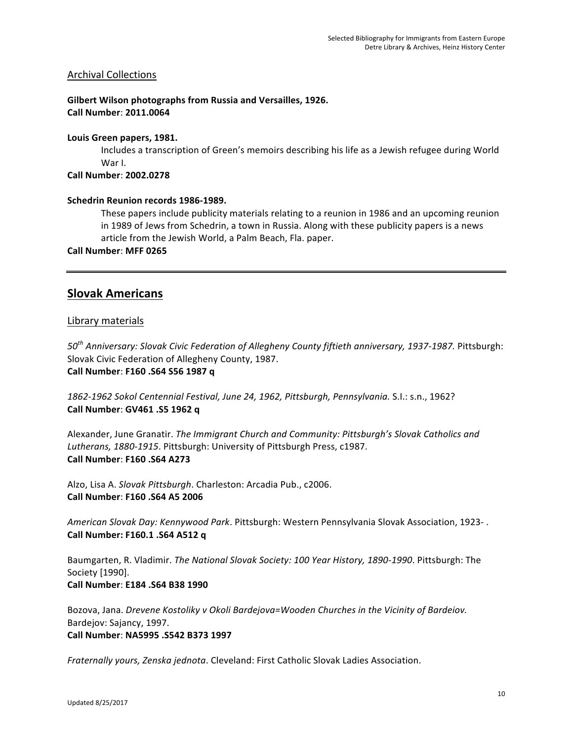# Archival Collections

**Gilbert Wilson photographs from Russia and Versailles, 1926. Call Number**: **2011.0064**

## Louis Green papers, 1981.

Includes a transcription of Green's memoirs describing his life as a Jewish refugee during World War I.

## **Call Number**: **2002.0278**

# Schedrin Reunion records 1986-1989.

These papers include publicity materials relating to a reunion in 1986 and an upcoming reunion in 1989 of Jews from Schedrin, a town in Russia. Along with these publicity papers is a news article from the Jewish World, a Palm Beach, Fla. paper.

**Call Number**: **MFF 0265**

# **Slovak Americans**

# Library materials

*50th Anniversary: Slovak Civic Federation of Allegheny County fiftieth anniversary, 1937-1987.* Pittsburgh: Slovak Civic Federation of Allegheny County, 1987. **Call Number**: **F160 .S64 S56 1987 q**

1862-1962 Sokol Centennial Festival, June 24, 1962, Pittsburgh, Pennsylvania. S.I.: s.n., 1962? **Call Number**: **GV461 .S5 1962 q**

Alexander, June Granatir. *The Immigrant Church and Community: Pittsburgh's Slovak Catholics and* Lutherans, 1880-1915. Pittsburgh: University of Pittsburgh Press, c1987. **Call Number**: **F160 .S64 A273**

Alzo, Lisa A. *Slovak Pittsburgh*. Charleston: Arcadia Pub., c2006. **Call Number**: **F160 .S64 A5 2006**

American Slovak Day: Kennywood Park. Pittsburgh: Western Pennsylvania Slovak Association, 1923-. **Call Number: F160.1 .S64 A512 q**

Baumgarten, R. Vladimir. *The National Slovak Society: 100 Year History, 1890-1990*. Pittsburgh: The Society [1990]. **Call Number**: **E184 .S64 B38 1990**

Bozova, Jana. *Drevene Kostoliky v Okoli Bardejova*=Wooden Churches in the Vicinity of Bardeiov. Bardejov: Sajancy, 1997. **Call Number**: **NA5995 .S542 B373 1997**

*Fraternally yours, Zenska jednota*. Cleveland: First Catholic Slovak Ladies Association.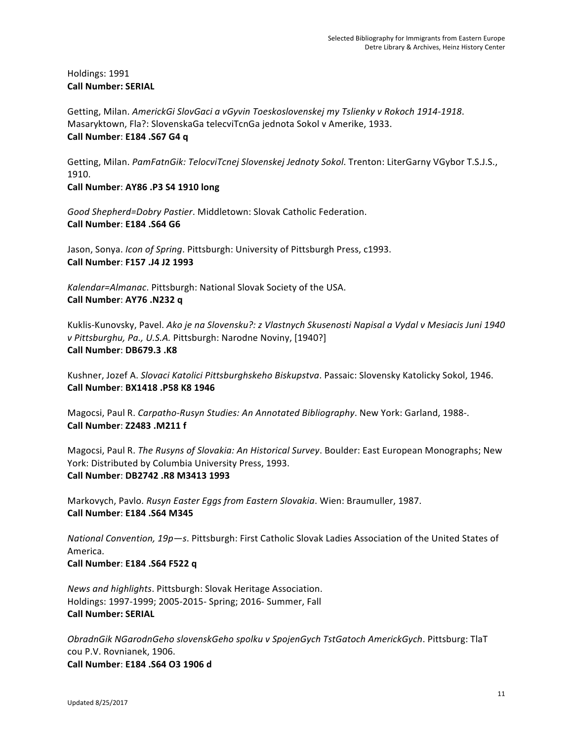# Holdings: 1991 **Call Number: SERIAL**

Getting, Milan. AmerickGi SlovGaci a vGyvin Toeskoslovenskej my Tslienky v Rokoch 1914-1918. Masaryktown, Fla?: SlovenskaGa telecviTcnGa jednota Sokol v Amerike, 1933. **Call Number**: **E184 .S67 G4 q**

Getting, Milan. PamFatnGik: TelocviTcnej Slovenskej Jednoty Sokol. Trenton: LiterGarny VGybor T.S.J.S., 1910.

**Call Number**: **AY86 .P3 S4 1910 long**

Good Shepherd=Dobry Pastier. Middletown: Slovak Catholic Federation. **Call Number**: **E184 .S64 G6**

Jason, Sonya. *Icon of Spring*. Pittsburgh: University of Pittsburgh Press, c1993. **Call Number**: **F157 .J4 J2 1993**

Kalendar=Almanac. Pittsburgh: National Slovak Society of the USA. **Call Number**: **AY76 .N232 q**

Kuklis-Kunovsky, Pavel. *Ako je na Slovensku?: z Vlastnych Skusenosti Napisal a Vydal v Mesiacis Juni 1940 v* Pittsburghu, Pa., U.S.A. Pittsburgh: Narodne Noviny, [1940?] **Call Number**: **DB679.3 .K8**

Kushner, Jozef A. Slovaci Katolici Pittsburghskeho Biskupstva. Passaic: Slovensky Katolicky Sokol, 1946. **Call Number**: **BX1418 .P58 K8 1946**

Magocsi, Paul R. *Carpatho-Rusyn Studies: An Annotated Bibliography*. New York: Garland, 1988-. **Call Number**: **Z2483 .M211 f**

Magocsi, Paul R. *The Rusyns of Slovakia: An Historical Survey*. Boulder: East European Monographs; New York: Distributed by Columbia University Press, 1993. **Call Number**: **DB2742 .R8 M3413 1993**

Markovych, Pavlo. *Rusyn Easter Eggs from Eastern Slovakia*. Wien: Braumuller, 1987. **Call Number**: **E184 .S64 M345**

*National Convention, 19p-s.* Pittsburgh: First Catholic Slovak Ladies Association of the United States of America. **Call Number**: **E184 .S64 F522 q**

*News and highlights.* Pittsburgh: Slovak Heritage Association. Holdings: 1997-1999; 2005-2015- Spring; 2016- Summer, Fall **Call Number: SERIAL**

*ObradnGik NGarodnGeho slovenskGeho spolku v SpojenGych TstGatoch AmerickGych*. Pittsburg: TlaT cou P.V. Rovnianek, 1906. **Call Number**: **E184 .S64 O3 1906 d**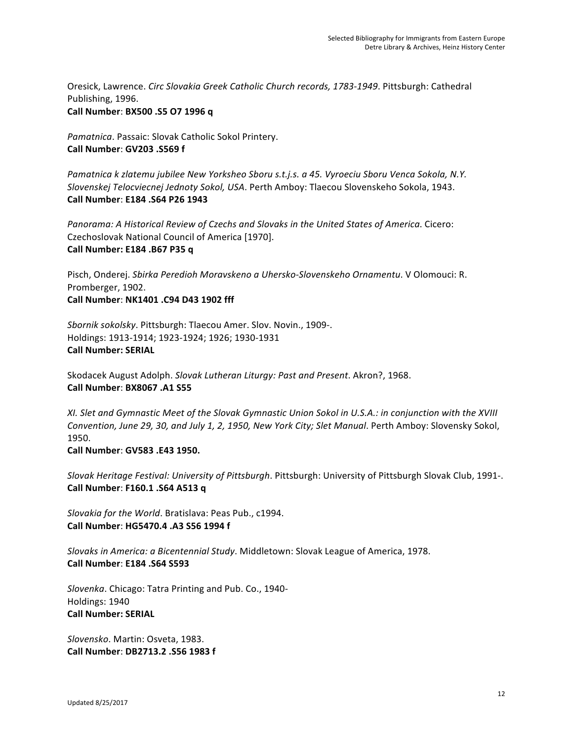Oresick, Lawrence. Circ Slovakia Greek Catholic Church records, 1783-1949. Pittsburgh: Cathedral Publishing, 1996. **Call Number**: **BX500 .S5 O7 1996 q**

Pamatnica. Passaic: Slovak Catholic Sokol Printery. **Call Number**: **GV203 .S569 f**

Pamatnica k zlatemu jubilee New Yorksheo Sboru s.t.j.s. a 45. Vyroeciu Sboru Venca Sokola, N.Y. *Slovenskej Telocviecnej Jednoty Sokol, USA*. Perth Amboy: Tlaecou Slovenskeho Sokola, 1943. **Call Number**: **E184 .S64 P26 1943**

Panorama: A Historical Review of Czechs and Slovaks in the United States of America. Cicero: Czechoslovak National Council of America [1970]. **Call Number: E184 .B67 P35 q**

Pisch, Onderej. *Sbirka Peredioh Moravskeno a Uhersko-Slovenskeho Ornamentu*. V Olomouci: R. Promberger, 1902. **Call Number**: **NK1401 .C94 D43 1902 fff**

*Sbornik sokolsky*. Pittsburgh: Tlaecou Amer. Slov. Novin., 1909-. Holdings: 1913-1914; 1923-1924; 1926; 1930-1931 **Call Number: SERIAL**

Skodacek August Adolph. Slovak Lutheran Liturgy: Past and Present. Akron?, 1968. **Call Number**: **BX8067 .A1 S55**

XI. Slet and Gymnastic Meet of the Slovak Gymnastic Union Sokol in U.S.A.: in conjunction with the XVIII *Convention, June 29, 30, and July 1, 2, 1950, New York City; Slet Manual. Perth Amboy: Slovensky Sokol,* 1950.

**Call Number**: **GV583 .E43 1950.**

*Slovak Heritage Festival: University of Pittsburgh.* Pittsburgh: University of Pittsburgh Slovak Club, 1991-. **Call Number**: **F160.1 .S64 A513 q**

*Slovakia for the World*. Bratislava: Peas Pub., c1994. **Call Number**: **HG5470.4 .A3 S56 1994 f**

*Slovaks in America: a Bicentennial Study*. Middletown: Slovak League of America, 1978. **Call Number**: **E184 .S64 S593** 

Slovenka. Chicago: Tatra Printing and Pub. Co., 1940-Holdings: 1940 **Call Number: SERIAL**

*Slovensko*. Martin: Osveta, 1983. **Call Number**: **DB2713.2 .S56 1983 f**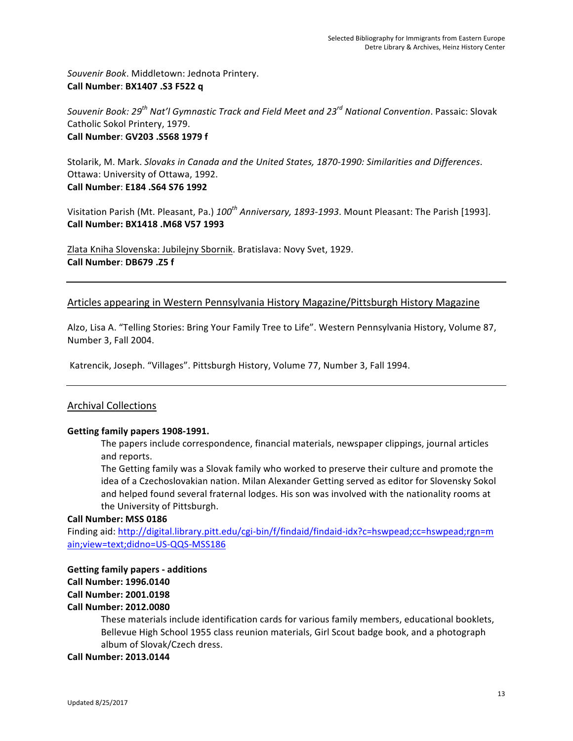Souvenir Book. Middletown: Jednota Printery. **Call Number**: **BX1407 .S3 F522 q**

*Souvenir Book: 29<sup>th</sup> Nat'l Gymnastic Track and Field Meet and 23<sup>rd</sup> National Convention. Passaic: Slovak* Catholic Sokol Printery, 1979. **Call Number**: **GV203 .S568 1979 f**

Stolarik, M. Mark. *Slovaks in Canada and the United States, 1870-1990: Similarities and Differences.* Ottawa: University of Ottawa, 1992. **Call Number**: **E184 .S64 S76 1992**

Visitation Parish (Mt. Pleasant, Pa.) 100<sup>th</sup> Anniversary, 1893-1993. Mount Pleasant: The Parish [1993]. **Call Number: BX1418 .M68 V57 1993**

Zlata Kniha Slovenska: Jubilejny Sbornik. Bratislava: Novy Svet, 1929. **Call Number**: **DB679 .Z5 f**

# Articles appearing in Western Pennsylvania History Magazine/Pittsburgh History Magazine

Alzo, Lisa A. "Telling Stories: Bring Your Family Tree to Life". Western Pennsylvania History, Volume 87, Number 3, Fall 2004.

Katrencik, Joseph. "Villages". Pittsburgh History, Volume 77, Number 3, Fall 1994.

# Archival Collections

## Getting family papers 1908-1991.

The papers include correspondence, financial materials, newspaper clippings, journal articles and reports.

The Getting family was a Slovak family who worked to preserve their culture and promote the idea of a Czechoslovakian nation. Milan Alexander Getting served as editor for Slovensky Sokol and helped found several fraternal lodges. His son was involved with the nationality rooms at the University of Pittsburgh.

#### **Call Number: MSS 0186**

Finding aid: http://digital.library.pitt.edu/cgi-bin/f/findaid/findaid-idx?c=hswpead;cc=hswpead;rgn=m ain;view=text;didno=US-QQS-MSS186

# **Getting family papers - additions Call Number: 1996.0140 Call Number: 2001.0198 Call Number: 2012.0080**

These materials include identification cards for various family members, educational booklets, Bellevue High School 1955 class reunion materials, Girl Scout badge book, and a photograph album of Slovak/Czech dress.

## **Call Number: 2013.0144**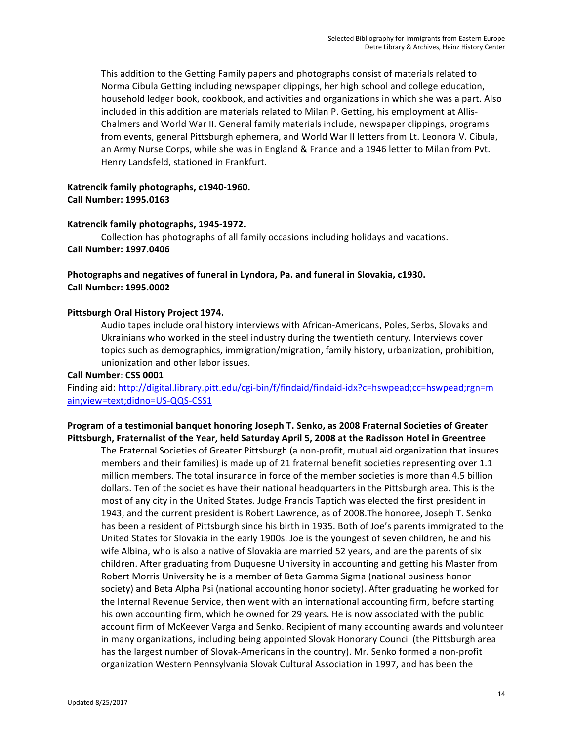This addition to the Getting Family papers and photographs consist of materials related to Norma Cibula Getting including newspaper clippings, her high school and college education, household ledger book, cookbook, and activities and organizations in which she was a part. Also included in this addition are materials related to Milan P. Getting, his employment at Allis-Chalmers and World War II. General family materials include, newspaper clippings, programs from events, general Pittsburgh ephemera, and World War II letters from Lt. Leonora V. Cibula, an Army Nurse Corps, while she was in England & France and a 1946 letter to Milan from Pvt. Henry Landsfeld, stationed in Frankfurt.

# Katrencik family photographs, c1940-1960. **Call Number: 1995.0163**

## Katrencik family photographs, 1945-1972.

Collection has photographs of all family occasions including holidays and vacations. **Call Number: 1997.0406**

# Photographs and negatives of funeral in Lyndora, Pa. and funeral in Slovakia, c1930. **Call Number: 1995.0002**

#### **Pittsburgh Oral History Project 1974.**

Audio tapes include oral history interviews with African-Americans, Poles, Serbs, Slovaks and Ukrainians who worked in the steel industry during the twentieth century. Interviews cover topics such as demographics, immigration/migration, family history, urbanization, prohibition, unionization and other labor issues.

#### **Call Number**: **CSS 0001**

Finding aid: http://digital.library.pitt.edu/cgi-bin/f/findaid/findaid-idx?c=hswpead;cc=hswpead;rgn=m ain;view=text;didno=US-QQS-CSS1

# Program of a testimonial banquet honoring Joseph T. Senko, as 2008 Fraternal Societies of Greater Pittsburgh, Fraternalist of the Year, held Saturday April 5, 2008 at the Radisson Hotel in Greentree

The Fraternal Societies of Greater Pittsburgh (a non-profit, mutual aid organization that insures members and their families) is made up of 21 fraternal benefit societies representing over 1.1 million members. The total insurance in force of the member societies is more than 4.5 billion dollars. Ten of the societies have their national headquarters in the Pittsburgh area. This is the most of any city in the United States. Judge Francis Taptich was elected the first president in 1943, and the current president is Robert Lawrence, as of 2008.The honoree, Joseph T. Senko has been a resident of Pittsburgh since his birth in 1935. Both of Joe's parents immigrated to the United States for Slovakia in the early 1900s. Joe is the youngest of seven children, he and his wife Albina, who is also a native of Slovakia are married 52 years, and are the parents of six children. After graduating from Duquesne University in accounting and getting his Master from Robert Morris University he is a member of Beta Gamma Sigma (national business honor society) and Beta Alpha Psi (national accounting honor society). After graduating he worked for the Internal Revenue Service, then went with an international accounting firm, before starting his own accounting firm, which he owned for 29 years. He is now associated with the public account firm of McKeever Varga and Senko. Recipient of many accounting awards and volunteer in many organizations, including being appointed Slovak Honorary Council (the Pittsburgh area has the largest number of Slovak-Americans in the country). Mr. Senko formed a non-profit organization Western Pennsylvania Slovak Cultural Association in 1997, and has been the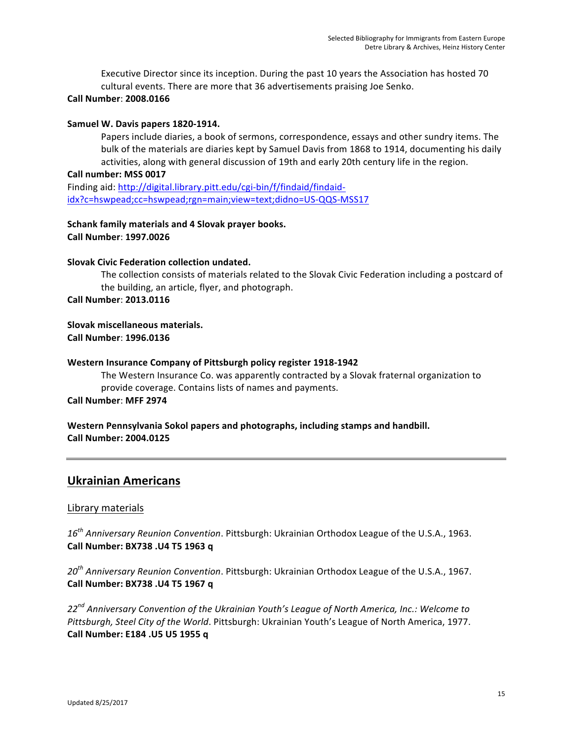Executive Director since its inception. During the past 10 years the Association has hosted 70 cultural events. There are more that 36 advertisements praising Joe Senko.

## **Call Number**: **2008.0166**

### Samuel W. Davis papers 1820-1914.

Papers include diaries, a book of sermons, correspondence, essays and other sundry items. The bulk of the materials are diaries kept by Samuel Davis from 1868 to 1914, documenting his daily activities, along with general discussion of 19th and early 20th century life in the region.

#### Call number: MSS 0017

Finding aid: http://digital.library.pitt.edu/cgi-bin/f/findaid/findaididx?c=hswpead;cc=hswpead;rgn=main;view=text;didno=US-QQS-MSS17

# **Schank family materials and 4 Slovak prayer books. Call Number**: **1997.0026**

## **Slovak Civic Federation collection undated.**

The collection consists of materials related to the Slovak Civic Federation including a postcard of the building, an article, flyer, and photograph.

**Call Number**: **2013.0116**

## **Slovak miscellaneous materials. Call Number**: **1996.0136**

## **Western Insurance Company of Pittsburgh policy register 1918-1942**

The Western Insurance Co. was apparently contracted by a Slovak fraternal organization to provide coverage. Contains lists of names and payments.

#### **Call Number**: **MFF 2974**

Western Pennsylvania Sokol papers and photographs, including stamps and handbill. **Call Number: 2004.0125**

# **Ukrainian Americans**

## Library materials

16<sup>th</sup> Anniversary Reunion Convention. Pittsburgh: Ukrainian Orthodox League of the U.S.A., 1963. **Call Number: BX738 .U4 T5 1963 q**

20<sup>th</sup> Anniversary Reunion Convention. Pittsburgh: Ukrainian Orthodox League of the U.S.A., 1967. **Call Number: BX738 .U4 T5 1967 q**

22<sup>nd</sup> Anniversary Convention of the Ukrainian Youth's League of North America, Inc.: Welcome to Pittsburgh, Steel City of the World. Pittsburgh: Ukrainian Youth's League of North America, 1977. **Call Number: E184 .U5 U5 1955 q**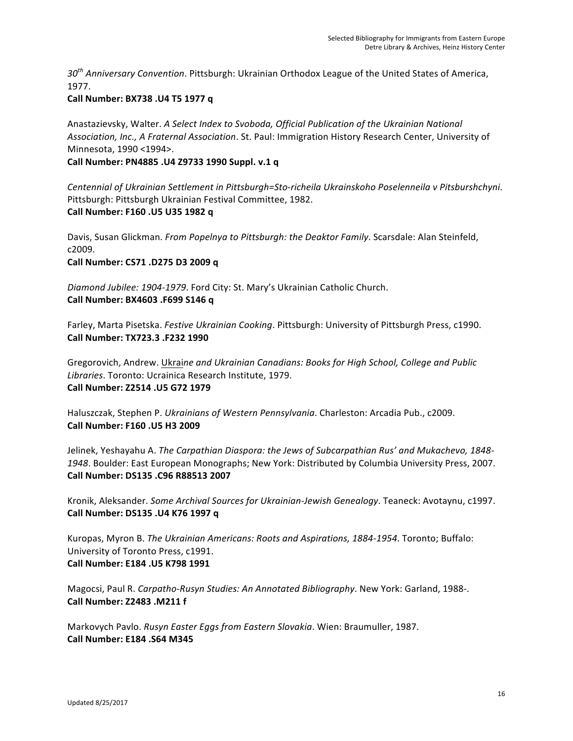30<sup>th</sup> Anniversary Convention. Pittsburgh: Ukrainian Orthodox League of the United States of America, 1977.

# **Call Number: BX738 .U4 T5 1977 q**

Anastazievsky, Walter. *A Select Index to Svoboda, Official Publication of the Ukrainian National* Association, Inc., A Fraternal Association. St. Paul: Immigration History Research Center, University of Minnesota, 1990 <1994>.

**Call Number: PN4885 .U4 Z9733 1990 Suppl. v.1 q**

*Centennial of Ukrainian Settlement in Pittsburgh=Sto-richeila Ukrainskoho Poselenneila v Pitsburshchyni*. Pittsburgh: Pittsburgh Ukrainian Festival Committee, 1982. **Call Number: F160 .U5 U35 1982 q**

Davis, Susan Glickman. *From Popelnya to Pittsburgh: the Deaktor Family*. Scarsdale: Alan Steinfeld, c2009.

**Call Number: CS71 .D275 D3 2009 q**

Diamond Jubilee: 1904-1979. Ford City: St. Mary's Ukrainian Catholic Church. **Call Number: BX4603 .F699 S146 q**

Farley, Marta Pisetska. *Festive Ukrainian Cooking*. Pittsburgh: University of Pittsburgh Press, c1990. **Call Number: TX723.3 .F232 1990**

Gregorovich, Andrew. Ukraine and Ukrainian Canadians: Books for High School, College and Public *Libraries*. Toronto: Ucrainica Research Institute, 1979. **Call Number: Z2514 .U5 G72 1979**

Haluszczak, Stephen P. Ukrainians of Western Pennsylvania. Charleston: Arcadia Pub., c2009. **Call Number: F160 .U5 H3 2009**

Jelinek, Yeshayahu A. *The Carpathian Diaspora: the Jews of Subcarpathian Rus' and Mukachevo, 1848-*1948. Boulder: East European Monographs; New York: Distributed by Columbia University Press, 2007. **Call Number: DS135 .C96 R88513 2007**

Kronik, Aleksander. *Some Archival Sources for Ukrainian-Jewish Genealogy*. Teaneck: Avotaynu, c1997. **Call Number: DS135 .U4 K76 1997 q**

Kuropas, Myron B. *The Ukrainian Americans: Roots and Aspirations, 1884-1954*. Toronto; Buffalo: University of Toronto Press, c1991. **Call Number: E184 .U5 K798 1991**

Magocsi, Paul R. *Carpatho-Rusyn Studies: An Annotated Bibliography*. New York: Garland, 1988-. **Call Number: Z2483 .M211 f**

Markovych Pavlo. Rusyn Easter Eggs from Eastern Slovakia. Wien: Braumuller, 1987. **Call Number: E184 .S64 M345**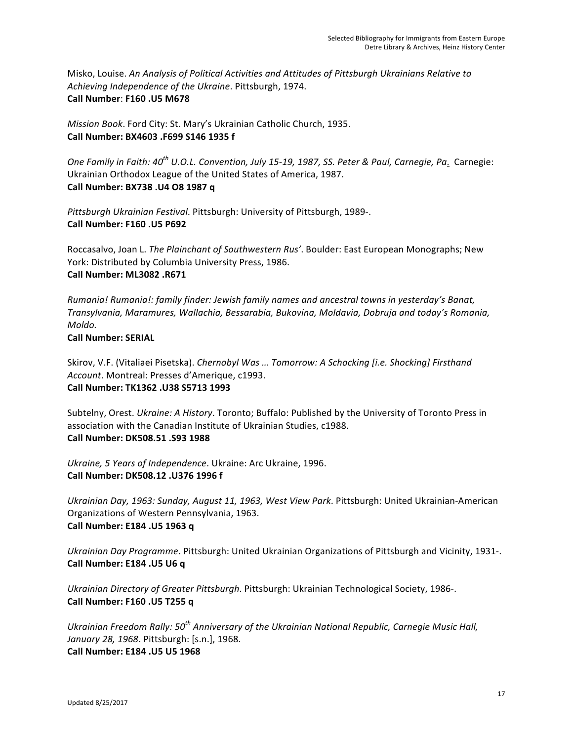Misko, Louise. *An Analysis of Political Activities and Attitudes of Pittsburgh Ukrainians Relative to* Achieving Independence of the Ukraine. Pittsburgh, 1974. **Call Number**: **F160 .U5 M678** 

*Mission Book.* Ford City: St. Mary's Ukrainian Catholic Church, 1935. **Call Number: BX4603 .F699 S146 1935 f**

*One Family in Faith: 40<sup>th</sup> U.O.L. Convention, July 15-19, 1987, SS. Peter & Paul, Carnegie, Pa. Carnegie:* Ukrainian Orthodox League of the United States of America, 1987. **Call Number: BX738 .U4 O8 1987 q**

Pittsburgh Ukrainian Festival. Pittsburgh: University of Pittsburgh, 1989-. **Call Number: F160 .U5 P692**

Roccasalvo, Joan L. *The Plainchant of Southwestern Rus'*. Boulder: East European Monographs; New York: Distributed by Columbia University Press, 1986. **Call Number: ML3082 .R671**

*Rumania! Rumania!: family finder: Jewish family names and ancestral towns in yesterday's Banat, Transylvania, Maramures, Wallachia, Bessarabia, Bukovina, Moldavia, Dobruja and today's Romania, Moldo.* 

**Call Number: SERIAL**

Skirov, V.F. (Vitaliaei Pisetska). *Chernobyl Was ... Tomorrow: A Schocking [i.e. Shocking] Firsthand* Account. Montreal: Presses d'Amerique, c1993. **Call Number: TK1362 .U38 S5713 1993**

Subtelny, Orest. Ukraine: A History. Toronto; Buffalo: Published by the University of Toronto Press in association with the Canadian Institute of Ukrainian Studies, c1988. **Call Number: DK508.51 .S93 1988**

*Ukraine,* 5 Years of Independence. Ukraine: Arc Ukraine, 1996. **Call Number: DK508.12 .U376 1996 f**

Ukrainian Day, 1963: Sunday, August 11, 1963, West View Park. Pittsburgh: United Ukrainian-American Organizations of Western Pennsylvania, 1963. **Call Number: E184 .U5 1963 q**

Ukrainian Day Programme. Pittsburgh: United Ukrainian Organizations of Pittsburgh and Vicinity, 1931-. **Call Number: E184 .U5 U6 q**

Ukrainian Directory of Greater Pittsburgh. Pittsburgh: Ukrainian Technological Society, 1986-. **Call Number: F160 .U5 T255 q**

Ukrainian Freedom Rally: 50<sup>th</sup> Anniversary of the Ukrainian National Republic, Carnegie Music Hall, *January 28, 1968*. Pittsburgh: [s.n.], 1968. **Call Number: E184 .U5 U5 1968**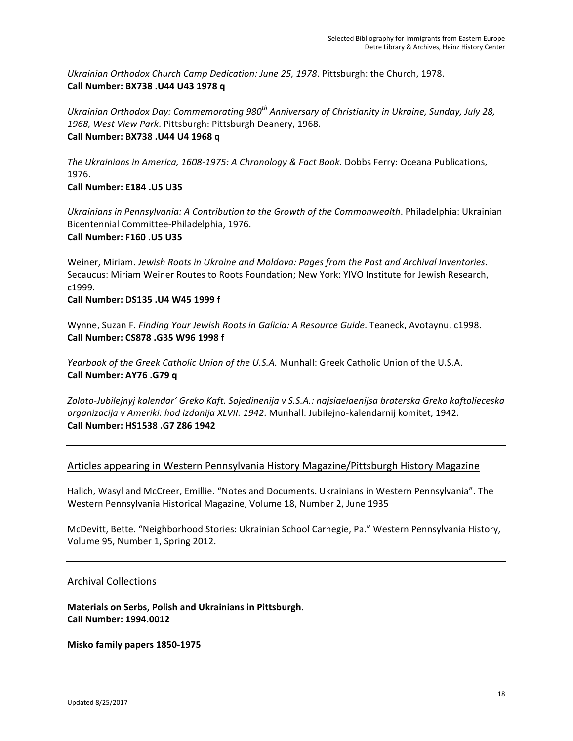Ukrainian Orthodox Church Camp Dedication: June 25, 1978. Pittsburgh: the Church, 1978. **Call Number: BX738 .U44 U43 1978 q**

Ukrainian Orthodox Day: Commemorating 980<sup>th</sup> Anniversary of Christianity in Ukraine, Sunday, July 28, 1968, West View Park. Pittsburgh: Pittsburgh Deanery, 1968. **Call Number: BX738 .U44 U4 1968 q**

*The Ukrainians in America, 1608-1975: A Chronology & Fact Book. Dobbs Ferry: Oceana Publications,* 1976.

# **Call Number: E184 .U5 U35**

Ukrainians in Pennsylvania: A Contribution to the Growth of the Commonwealth. Philadelphia: Ukrainian Bicentennial Committee-Philadelphia, 1976. **Call Number: F160 .U5 U35**

Weiner, Miriam. Jewish Roots in Ukraine and Moldova: Pages from the Past and Archival Inventories. Secaucus: Miriam Weiner Routes to Roots Foundation; New York: YIVO Institute for Jewish Research, c1999.

# **Call Number: DS135 .U4 W45 1999 f**

Wynne, Suzan F. *Finding Your Jewish Roots in Galicia: A Resource Guide*. Teaneck, Avotaynu, c1998. **Call Number: CS878 .G35 W96 1998 f**

*Yearbook of the Greek Catholic Union of the U.S.A. Munhall: Greek Catholic Union of the U.S.A.* **Call Number: AY76 .G79 q** 

Zoloto-Jubilejnyj kalendar' Greko Kaft. Sojedinenija v S.S.A.: najsiaelaenijsa braterska Greko kaftolieceska *organizacija v Ameriki: hod izdanija XLVII: 1942. Munhall: Jubilejno-kalendarnij komitet, 1942.* **Call Number: HS1538 .G7 Z86 1942**

# Articles appearing in Western Pennsylvania History Magazine/Pittsburgh History Magazine

Halich, Wasyl and McCreer, Emillie. "Notes and Documents. Ukrainians in Western Pennsylvania". The Western Pennsylvania Historical Magazine, Volume 18, Number 2, June 1935

McDevitt, Bette. "Neighborhood Stories: Ukrainian School Carnegie, Pa." Western Pennsylvania History, Volume 95, Number 1, Spring 2012.

# **Archival Collections**

**Materials on Serbs, Polish and Ukrainians in Pittsburgh. Call Number: 1994.0012**

**Misko family papers 1850-1975**